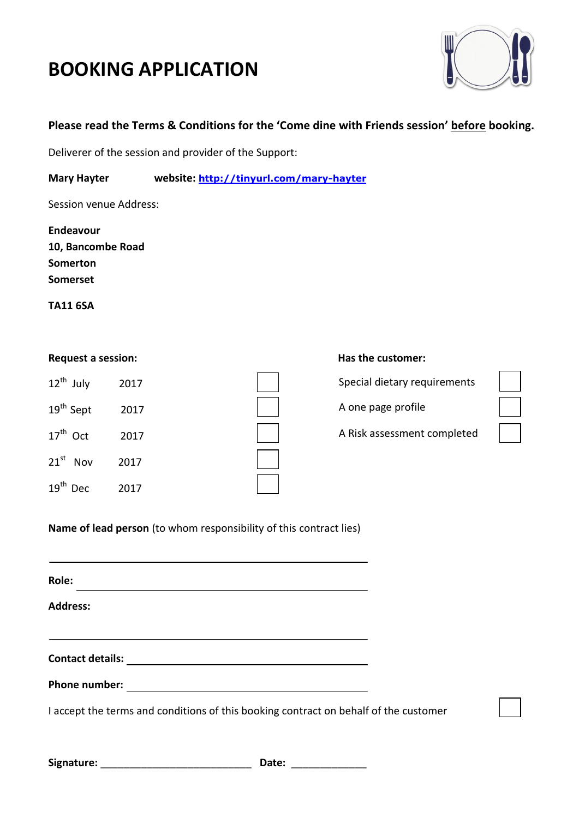# **BOOKING APPLICATION**



## **Please read the Terms & Conditions for the 'Come dine with Friends session' before booking.**

Deliverer of the session and provider of the Support:

**Mary Hayter website: <http://tinyurl.com/mary-hayter>**

Session venue Address:

**Endeavour 10, Bancombe Road Somerton Somerset**

**TA11 6SA**

| $12^{th}$ July                 | 2017 |
|--------------------------------|------|
| 19 <sup>th</sup> Sept          | 2017 |
| $17th$ Oct                     | 2017 |
| $21^{st}$<br>Nov               | 2017 |
| 19 <sup>th</sup><br><b>Dec</b> | 2017 |

#### **Request a session: Request a session: Has the customer:**

Special dietary requirements

A one page profile

A Risk assessment completed

**Name of lead person** (to whom responsibility of this contract lies)

| Role:                                                                                |  |
|--------------------------------------------------------------------------------------|--|
| <b>Address:</b>                                                                      |  |
| <b>Contact details:</b>                                                              |  |
| <b>Phone number:</b>                                                                 |  |
| I accept the terms and conditions of this booking contract on behalf of the customer |  |

| Signature: |  |
|------------|--|
|------------|--|

Date: